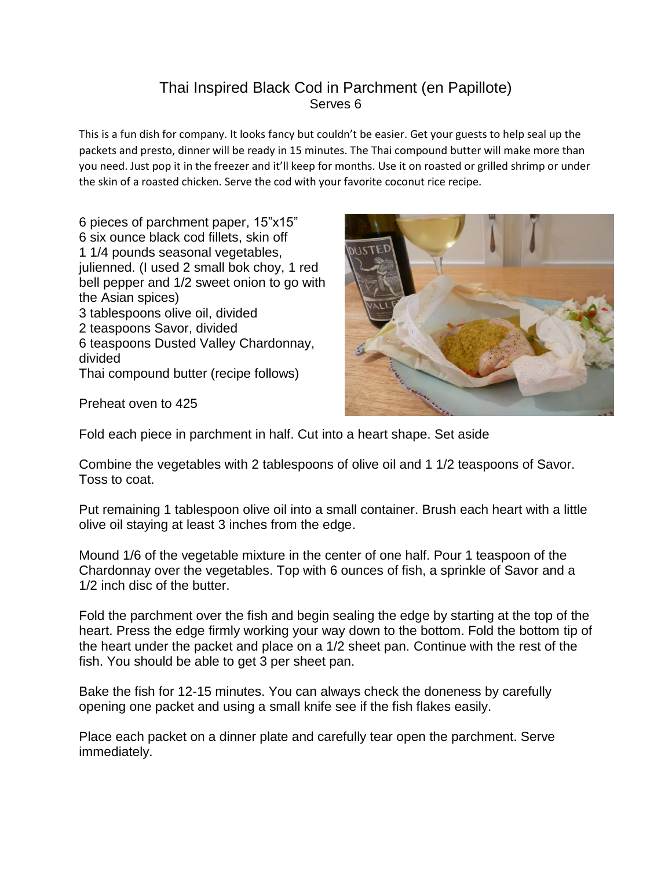## Thai Inspired Black Cod in Parchment (en Papillote) Serves 6

This is a fun dish for company. It looks fancy but couldn't be easier. Get your guests to help seal up the packets and presto, dinner will be ready in 15 minutes. The Thai compound butter will make more than you need. Just pop it in the freezer and it'll keep for months. Use it on roasted or grilled shrimp or under the skin of a roasted chicken. Serve the cod with your favorite coconut rice recipe.

6 pieces of parchment paper, 15"x15" 6 six ounce black cod fillets, skin off 1 1/4 pounds seasonal vegetables, julienned. (I used 2 small bok choy, 1 red bell pepper and 1/2 sweet onion to go with the Asian spices) 3 tablespoons olive oil, divided 2 teaspoons Savor, divided 6 teaspoons Dusted Valley Chardonnay, divided Thai compound butter (recipe follows)



Preheat oven to 425

Fold each piece in parchment in half. Cut into a heart shape. Set aside

Combine the vegetables with 2 tablespoons of olive oil and 1 1/2 teaspoons of Savor. Toss to coat.

Put remaining 1 tablespoon olive oil into a small container. Brush each heart with a little olive oil staying at least 3 inches from the edge.

Mound 1/6 of the vegetable mixture in the center of one half. Pour 1 teaspoon of the Chardonnay over the vegetables. Top with 6 ounces of fish, a sprinkle of Savor and a 1/2 inch disc of the butter.

Fold the parchment over the fish and begin sealing the edge by starting at the top of the heart. Press the edge firmly working your way down to the bottom. Fold the bottom tip of the heart under the packet and place on a 1/2 sheet pan. Continue with the rest of the fish. You should be able to get 3 per sheet pan.

Bake the fish for 12-15 minutes. You can always check the doneness by carefully opening one packet and using a small knife see if the fish flakes easily.

Place each packet on a dinner plate and carefully tear open the parchment. Serve immediately.